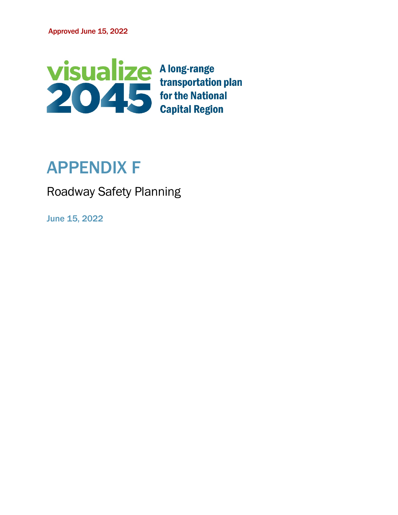

# APPENDIX F

Roadway Safety Planning

June 15, 2022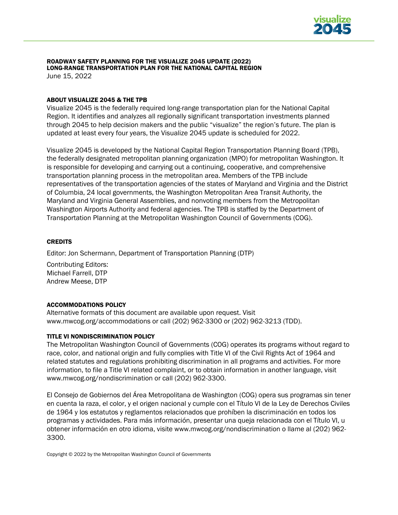

#### ROADWAY SAFETY PLANNING FOR THE VISUALIZE 2045 UPDATE (2022) LONG-RANGE TRANSPORTATION PLAN FOR THE NATIONAL CAPITAL REGION June 15, 2022

ABOUT VISUALIZE 2045 & THE TPB

Visualize 2045 is the federally required long-range transportation plan for the National Capital Region. It identifies and analyzes all regionally significant transportation investments planned through 2045 to help decision makers and the public "visualize" the region's future. The plan is updated at least every four years, the Visualize 2045 update is scheduled for 2022.

Visualize 2045 is developed by the National Capital Region Transportation Planning Board (TPB), the federally designated metropolitan planning organization (MPO) for metropolitan Washington. It is responsible for developing and carrying out a continuing, cooperative, and comprehensive transportation planning process in the metropolitan area. Members of the TPB include representatives of the transportation agencies of the states of Maryland and Virginia and the District of Columbia, 24 local governments, the Washington Metropolitan Area Transit Authority, the Maryland and Virginia General Assemblies, and nonvoting members from the Metropolitan Washington Airports Authority and federal agencies. The TPB is staffed by the Department of Transportation Planning at the Metropolitan Washington Council of Governments (COG).

#### **CREDITS**

Editor: Jon Schermann, Department of Transportation Planning (DTP)

Contributing Editors: Michael Farrell, DTP Andrew Meese, DTP

#### ACCOMMODATIONS POLICY

Alternative formats of this document are available upon request. Visit [www.mwcog.org/accommodations](http://www.mwcog.org/accommodations) or call (202) 962-3300 or (202) 962-3213 (TDD).

#### TITLE VI NONDISCRIMINATION POLICY

The Metropolitan Washington Council of Governments (COG) operates its programs without regard to race, color, and national origin and fully complies with Title VI of the Civil Rights Act of 1964 and related statutes and regulations prohibiting discrimination in all programs and activities. For more information, to file a Title VI related complaint, or to obtain information in another language, visit www.mwcog.org/nondiscrimination or call (202) 962-3300.

El Consejo de Gobiernos del Área Metropolitana de Washington (COG) opera sus programas sin tener en cuenta la raza, el color, y el origen nacional y cumple con el Título VI de la Ley de Derechos Civiles de 1964 y los estatutos y reglamentos relacionados que prohíben la discriminación en todos los programas y actividades. Para más información, presentar una queja relacionada con el Título VI, u obtener información en otro idioma, visite www.mwcog.org/nondiscrimination o llame al (202) 962- 3300.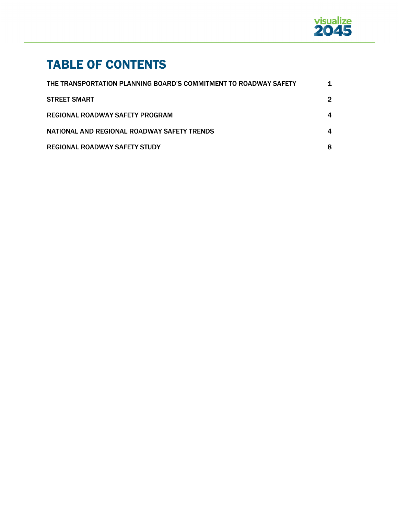

# TABLE OF CONTENTS

| THE TRANSPORTATION PLANNING BOARD'S COMMITMENT TO ROADWAY SAFETY |   |
|------------------------------------------------------------------|---|
| <b>STREET SMART</b>                                              | 2 |
| REGIONAL ROADWAY SAFETY PROGRAM                                  | 4 |
| NATIONAL AND REGIONAL ROADWAY SAFETY TRENDS                      | 4 |
| <b>REGIONAL ROADWAY SAFETY STUDY</b>                             | 8 |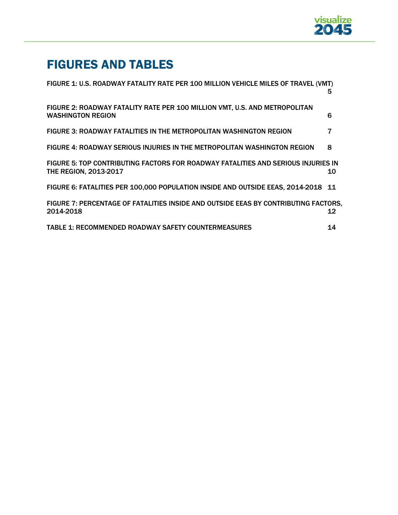

# FIGURES AND TABLES

| FIGURE 1: U.S. ROADWAY FATALITY RATE PER 100 MILLION VEHICLE MILES OF TRAVEL (VMT)                         | 5  |
|------------------------------------------------------------------------------------------------------------|----|
| FIGURE 2: ROADWAY FATALITY RATE PER 100 MILLION VMT, U.S. AND METROPOLITAN<br><b>WASHINGTON REGION</b>     | 6  |
| <b>FIGURE 3: ROADWAY FATALITIES IN THE METROPOLITAN WASHINGTON REGION</b>                                  |    |
| FIGURE 4: ROADWAY SERIOUS INJURIES IN THE METROPOLITAN WASHINGTON REGION                                   | 8  |
| FIGURE 5: TOP CONTRIBUTING FACTORS FOR ROADWAY FATALITIES AND SERIOUS INJURIES IN<br>THE REGION, 2013-2017 | 10 |
| FIGURE 6: FATALITIES PER 100,000 POPULATION INSIDE AND OUTSIDE EEAS, 2014-2018 11                          |    |
| FIGURE 7: PERCENTAGE OF FATALITIES INSIDE AND OUTSIDE EEAS BY CONTRIBUTING FACTORS.<br>2014-2018           | 12 |
| <b>TABLE 1: RECOMMENDED ROADWAY SAFETY COUNTERMEASURES</b>                                                 | 14 |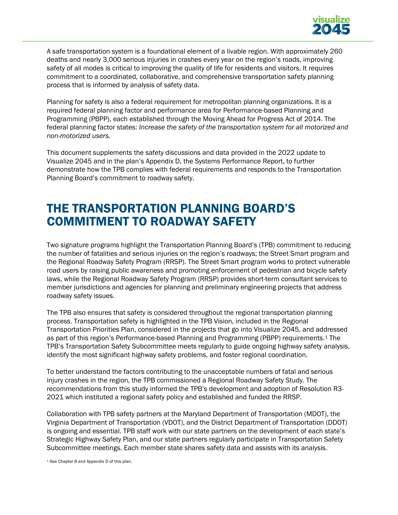

A safe transportation system is a foundational element of a livable region. With approximately 260 deaths and nearly 3,000 serious injuries in crashes every year on the region's roads, improving safety of all modes is critical to improving the quality of life for residents and visitors. It requires commitment to a coordinated, collaborative, and comprehensive transportation safety planning process that is informed by analysis of safety data.

Planning for safety is also a federal requirement for metropolitan planning organizations. It is a required federal planning factor and performance area for Performance-based Planning and Programming (PBPP), each established through the Moving Ahead for Progress Act of 2014. The federal planning factor states: *Increase the safety of the transportation system for all motorized and non-motorized users.* 

This document supplements the safety discussions and data provided in the 2022 update to Visualize 2045 and in the plan's Appendix D, the Systems Performance Report, to further demonstrate how the TPB complies with federal requirements and responds to the Transportation Planning Board's commitment to roadway safety.

### THE TRANSPORTATION PLANNING BOARD'S COMMITMENT TO ROADWAY SAFETY

Two signature programs highlight the Transportation Planning Board's (TPB) commitment to reducing the number of fatalities and serious injuries on the region's roadways; the Street Smart program and the Regional Roadway Safety Program (RRSP). The Street Smart program works to protect vulnerable road users by raising public awareness and promoting enforcement of pedestrian and bicycle safety laws, while the Regional Roadway Safety Program (RRSP) provides short-term consultant services to member jurisdictions and agencies for planning and preliminary engineering projects that address roadway safety issues.

The TPB also ensures that safety is considered throughout the regional transportation planning process. Transportation safety is highlighted in the TPB Vision, included in the Regional Transportation Priorities Plan, considered in the projects that go into Visualize 2045, and addressed as part of this region's Performance-based Planning and Programming (PBPP) requirements.[1](#page-4-0) The TPB's Transportation Safety Subcommittee meets regularly to guide ongoing highway safety analysis, identify the most significant highway safety problems, and foster regional coordination.

To better understand the factors contributing to the unacceptable numbers of fatal and serious injury crashes in the region, the TPB commissioned a Regional Roadway Safety Study. The recommendations from this study informed the TPB's development and adoption of Resolution R3- 2021 which instituted a regional safety policy and established and funded the RRSP.

Collaboration with TPB safety partners at the Maryland Department of Transportation (MDOT), the Virginia Department of Transportation (VDOT), and the District Department of Transportation (DDOT) is ongoing and essential. TPB staff work with our state partners on the development of each state's Strategic Highway Safety Plan, and our state partners regularly participate in Transportation Safety Subcommittee meetings. Each member state shares safety data and assists with its analysis.

<span id="page-4-0"></span><sup>1</sup> See Chapter 8 and Appendix D of this plan.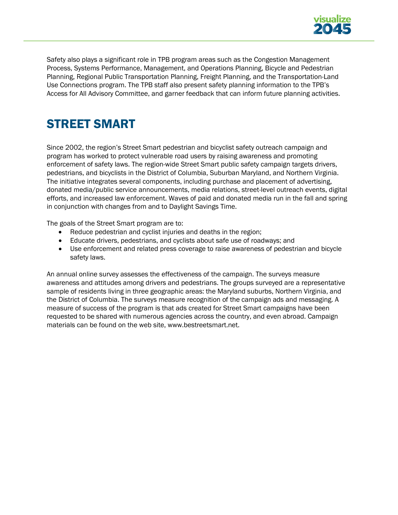

Safety also plays a significant role in TPB program areas such as the Congestion Management Process, Systems Performance, Management, and Operations Planning, Bicycle and Pedestrian Planning, Regional Public Transportation Planning, Freight Planning, and the Transportation-Land Use Connections program. The TPB staff also present safety planning information to the TPB's Access for All Advisory Committee, and garner feedback that can inform future planning activities.

### STREET SMART

Since 2002, the region's Street Smart pedestrian and bicyclist safety outreach campaign and program has worked to protect vulnerable road users by raising awareness and promoting enforcement of safety laws. The region-wide Street Smart public safety campaign targets drivers, pedestrians, and bicyclists in the District of Columbia, Suburban Maryland, and Northern Virginia. The initiative integrates several components, including purchase and placement of advertising, donated media/public service announcements, media relations, street-level outreach events, digital efforts, and increased law enforcement. Waves of paid and donated media run in the fall and spring in conjunction with changes from and to Daylight Savings Time.

The goals of the Street Smart program are to:

- Reduce pedestrian and cyclist injuries and deaths in the region;
- Educate drivers, pedestrians, and cyclists about safe use of roadways; and
- Use enforcement and related press coverage to raise awareness of pedestrian and bicycle safety laws.

An annual online survey assesses the effectiveness of the campaign. The surveys measure awareness and attitudes among drivers and pedestrians. The groups surveyed are a representative sample of residents living in three geographic areas: the Maryland suburbs, Northern Virginia, and the District of Columbia. The surveys measure recognition of the campaign ads and messaging. A measure of success of the program is that ads created for Street Smart campaigns have been requested to be shared with numerous agencies across the country, and even abroad. Campaign materials can be found on the web site, [www.bestreetsmart.net.](http://www.bestreetsmart.net/)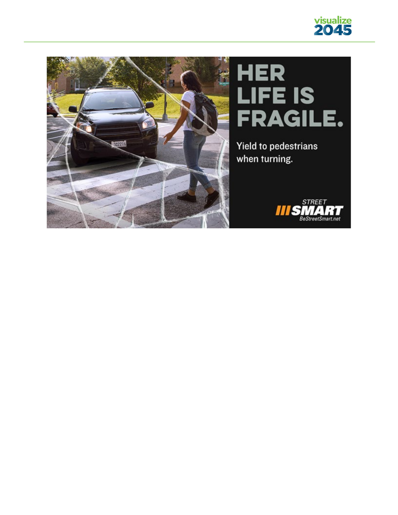

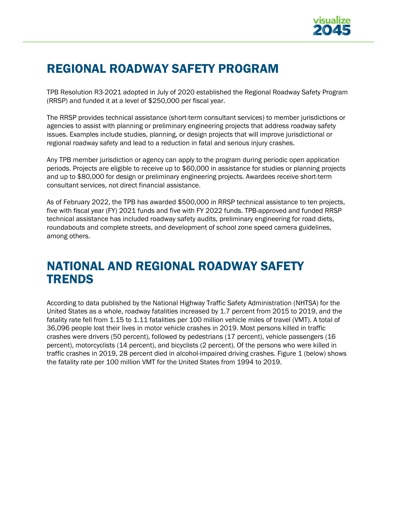

# REGIONAL ROADWAY SAFETY PROGRAM

TPB Resolution R3-2021 adopted in July of 2020 established the Regional Roadway Safety Program (RRSP) and funded it at a level of \$250,000 per fiscal year.

The RRSP provides technical assistance (short-term consultant services) to member jurisdictions or agencies to assist with planning or preliminary engineering projects that address roadway safety issues. Examples include studies, planning, or design projects that will improve jurisdictional or regional roadway safety and lead to a reduction in fatal and serious injury crashes.

Any TPB member jurisdiction or agency can apply to the program during periodic open application periods. Projects are eligible to receive up to \$60,000 in assistance for studies or planning projects and up to \$80,000 for design or preliminary engineering projects. Awardees receive short-term consultant services, not direct financial assistance.

As of February 2022, the TPB has awarded \$500,000 in RRSP technical assistance to ten projects, five with fiscal year (FY) 2021 funds and five with FY 2022 funds. TPB-approved and funded RRSP technical assistance has included roadway safety audits, preliminary engineering for road diets, roundabouts and complete streets, and development of school zone speed camera guidelines, among others.

### NATIONAL AND REGIONAL ROADWAY SAFETY TRENDS

According to data published by the National Highway Traffic Safety Administration (NHTSA) for the United States as a whole, roadway fatalities increased by 1.7 percent from 2015 to 2019, and the fatality rate fell from 1.15 to 1.11 fatalities per 100 million vehicle miles of travel (VMT). A total of 36,096 people lost their lives in motor vehicle crashes in 2019. Most persons killed in traffic crashes were drivers (50 percent), followed by pedestrians (17 percent), vehicle passengers (16 percent), motorcyclists (14 percent), and bicyclists (2 percent). Of the persons who were killed in traffic crashes in 2019, 28 percent died in alcohol-impaired driving crashes. Figure 1 (below) shows the fatality rate per 100 million VMT for the United States from 1994 to 2019.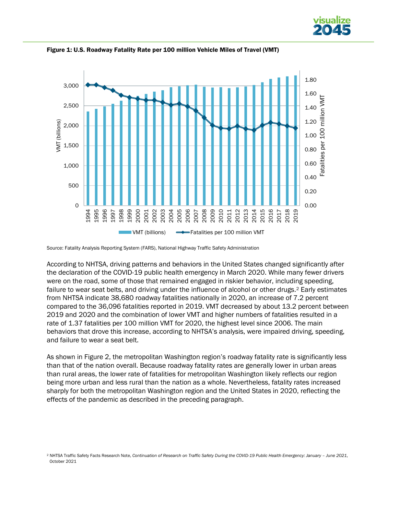



Figure 1: U.S. Roadway Fatality Rate per 100 million Vehicle Miles of Travel (VMT)

According to NHTSA, driving patterns and behaviors in the United States changed significantly after the declaration of the COVID-19 public health emergency in March 2020. While many fewer drivers were on the road, some of those that remained engaged in riskier behavior, including speeding, failure to wear seat belts, and driving under the influence of alcohol or other drugs.<sup>[2](#page-8-0)</sup> Early estimates from NHTSA indicate 38,680 roadway fatalities nationally in 2020, an increase of 7.2 percent compared to the 36,096 fatalities reported in 2019. VMT decreased by about 13.2 percent between 2019 and 2020 and the combination of lower VMT and higher numbers of fatalities resulted in a rate of 1.37 fatalities per 100 million VMT for 2020, the highest level since 2006. The main behaviors that drove this increase, according to NHTSA's analysis, were impaired driving, speeding, and failure to wear a seat belt.

As shown in Figure 2, the metropolitan Washington region's roadway fatality rate is significantly less than that of the nation overall. Because roadway fatality rates are generally lower in urban areas than rural areas, the lower rate of fatalities for metropolitan Washington likely reflects our region being more urban and less rural than the nation as a whole. Nevertheless, fatality rates increased sharply for both the metropolitan Washington region and the United States in 2020, reflecting the effects of the pandemic as described in the preceding paragraph.

Source: Fatality Analysis Reporting System (FARS), National Highway Traffic Safety Administration

<span id="page-8-0"></span><sup>2</sup> NHTSA Traffic Safety Facts Research Note, *Continuation of Research on Traffic Safety During the COVID-19 Public Health Emergency: January – June 2021*, October 2021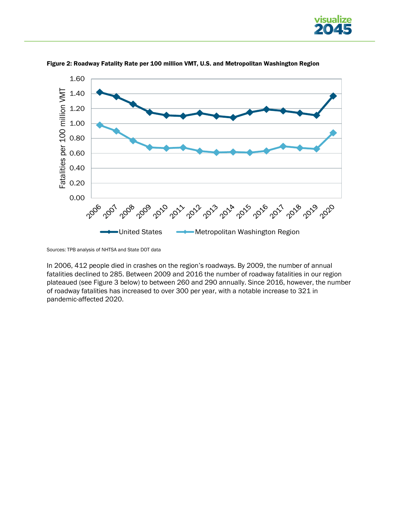



Figure 2: Roadway Fatality Rate per 100 million VMT, U.S. and Metropolitan Washington Region

In 2006, 412 people died in crashes on the region's roadways. By 2009, the number of annual fatalities declined to 285. Between 2009 and 2016 the number of roadway fatalities in our region plateaued (see Figure 3 below) to between 260 and 290 annually. Since 2016, however, the number of roadway fatalities has increased to over 300 per year, with a notable increase to 321 in pandemic-affected 2020.

Sources: TPB analysis of NHTSA and State DOT data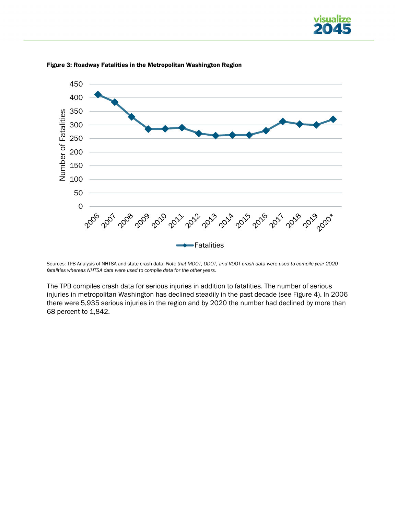



Figure 3: Roadway Fatalities in the Metropolitan Washington Region

Sources: TPB Analysis of NHTSA and state crash data. *Note that MDOT, DDOT, and VDOT crash data were used to compile year 2020 fatalities whereas NHTSA data were used to compile data for the other years.*

The TPB compiles crash data for serious injuries in addition to fatalities. The number of serious injuries in metropolitan Washington has declined steadily in the past decade (see Figure 4). In 2006 there were 5,935 serious injuries in the region and by 2020 the number had declined by more than 68 percent to 1,842.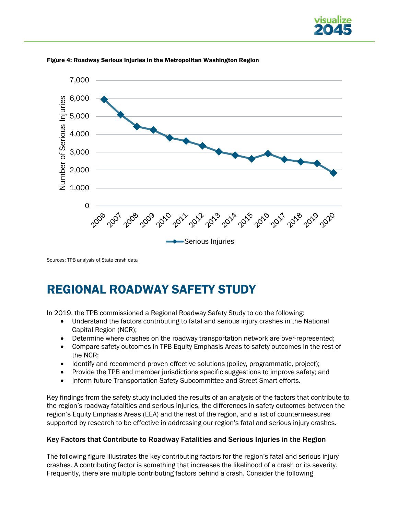



#### Figure 4: Roadway Serious Injuries in the Metropolitan Washington Region

Sources: TPB analysis of State crash data

# REGIONAL ROADWAY SAFETY STUDY

In 2019, the TPB commissioned a Regional Roadway Safety Study to do the following:

- Understand the factors contributing to fatal and serious injury crashes in the National Capital Region (NCR);
- Determine where crashes on the roadway transportation network are over-represented;
- Compare safety outcomes in TPB Equity Emphasis Areas to safety outcomes in the rest of the NCR;
- Identify and recommend proven effective solutions (policy, programmatic, project);
- Provide the TPB and member jurisdictions specific suggestions to improve safety; and
- Inform future Transportation Safety Subcommittee and Street Smart efforts.

Key findings from the safety study included the results of an analysis of the factors that contribute to the region's roadway fatalities and serious injuries, the differences in safety outcomes between the region's Equity Emphasis Areas (EEA) and the rest of the region, and a list of countermeasures supported by research to be effective in addressing our region's fatal and serious injury crashes.

### Key Factors that Contribute to Roadway Fatalities and Serious Injuries in the Region

The following figure illustrates the key contributing factors for the region's fatal and serious injury crashes. A contributing factor is something that increases the likelihood of a crash or its severity. Frequently, there are multiple contributing factors behind a crash. Consider the following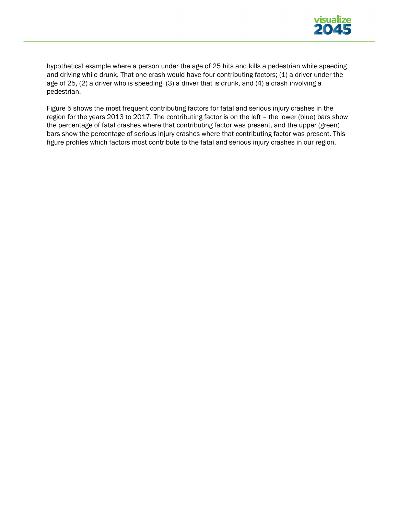

hypothetical example where a person under the age of 25 hits and kills a pedestrian while speeding and driving while drunk. That one crash would have four contributing factors; (1) a driver under the age of 25, (2) a driver who is speeding, (3) a driver that is drunk, and (4) a crash involving a pedestrian.

Figure 5 shows the most frequent contributing factors for fatal and serious injury crashes in the region for the years 2013 to 2017. The contributing factor is on the left – the lower (blue) bars show the percentage of fatal crashes where that contributing factor was present, and the upper (green) bars show the percentage of serious injury crashes where that contributing factor was present. This figure profiles which factors most contribute to the fatal and serious injury crashes in our region.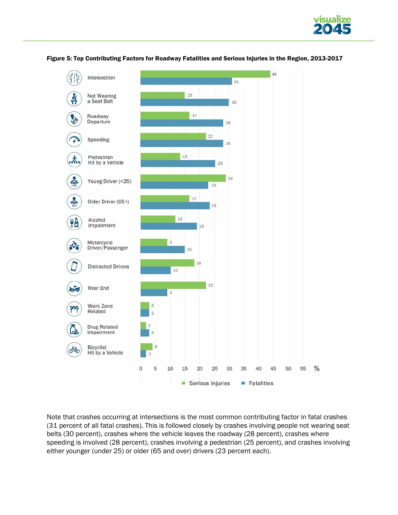



Figure 5: Top Contributing Factors for Roadway Fatalities and Serious Injuries in the Region, 2013-2017

Note that crashes occurring at intersections is the most common contributing factor in fatal crashes (31 percent of all fatal crashes). This is followed closely by crashes involving people not wearing seat belts (30 percent), crashes where the vehicle leaves the roadway (28 percent), crashes where speeding is involved (28 percent), crashes involving a pedestrian (25 percent), and crashes involving either younger (under 25) or older (65 and over) drivers (23 percent each).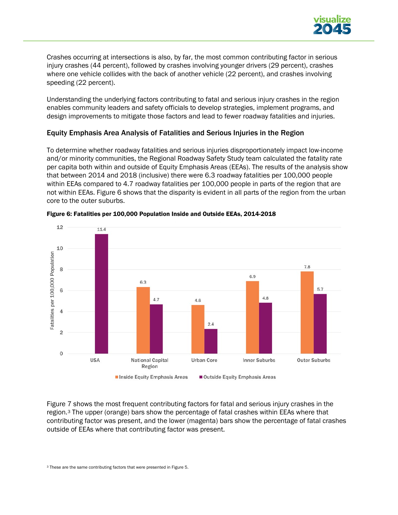

Crashes occurring at intersections is also, by far, the most common contributing factor in serious injury crashes (44 percent), followed by crashes involving younger drivers (29 percent), crashes where one vehicle collides with the back of another vehicle (22 percent), and crashes involving speeding (22 percent).

Understanding the underlying factors contributing to fatal and serious injury crashes in the region enables community leaders and safety officials to develop strategies, implement programs, and design improvements to mitigate those factors and lead to fewer roadway fatalities and injuries.

### Equity Emphasis Area Analysis of Fatalities and Serious Injuries in the Region

To determine whether roadway fatalities and serious injuries disproportionately impact low-income and/or minority communities, the Regional Roadway Safety Study team calculated the fatality rate per capita both within and outside of Equity Emphasis Areas (EEAs). The results of the analysis show that between 2014 and 2018 (inclusive) there were 6.3 roadway fatalities per 100,000 people within EEAs compared to 4.7 roadway fatalities per 100,000 people in parts of the region that are not within EEAs. Figure 6 shows that the disparity is evident in all parts of the region from the urban core to the outer suburbs.



#### Figure 6: Fatalities per 100,000 Population Inside and Outside EEAs, 2014-2018

<span id="page-14-0"></span>Figure [7](#page-14-0) shows the most frequent contributing factors for fatal and serious injury crashes in the region.3 The upper (orange) bars show the percentage of fatal crashes within EEAs where that contributing factor was present, and the lower (magenta) bars show the percentage of fatal crashes outside of EEAs where that contributing factor was present.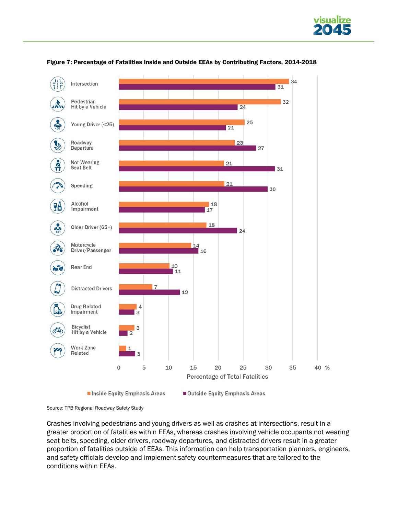





Source: TPB Regional Roadway Safety Study

Crashes involving pedestrians and young drivers as well as crashes at intersections, result in a greater proportion of fatalities within EEAs, whereas crashes involving vehicle occupants not wearing seat belts, speeding, older drivers, roadway departures, and distracted drivers result in a greater proportion of fatalities outside of EEAs. This information can help transportation planners, engineers, and safety officials develop and implement safety countermeasures that are tailored to the conditions within EEAs.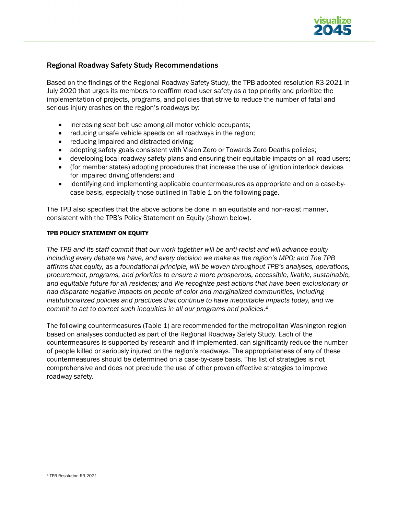

### Regional Roadway Safety Study Recommendations

Based on the findings of the Regional Roadway Safety Study, the TPB adopted resolution R3-2021 in July 2020 that urges its members to reaffirm road user safety as a top priority and prioritize the implementation of projects, programs, and policies that strive to reduce the number of fatal and serious injury crashes on the region's roadways by:

- increasing seat belt use among all motor vehicle occupants;
- reducing unsafe vehicle speeds on all roadways in the region;
- reducing impaired and distracted driving;
- adopting safety goals consistent with Vision Zero or Towards Zero Deaths policies;
- developing local roadway safety plans and ensuring their equitable impacts on all road users;
- (for member states) adopting procedures that increase the use of ignition interlock devices for impaired driving offenders; and
- identifying and implementing applicable countermeasures as appropriate and on a case-bycase basis, especially those outlined in Table 1 on the following page.

The TPB also specifies that the above actions be done in an equitable and non-racist manner, consistent with the TPB's Policy Statement on Equity (shown below).

#### TPB POLICY STATEMENT ON EQUITY

*The TPB and its staff commit that our work together will be anti-racist and will advance equity including every debate we have, and every decision we make as the region's MPO; and The TPB affirms that equity, as a foundational principle, will be woven throughout TPB's analyses, operations, procurement, programs, and priorities to ensure a more prosperous, accessible, livable, sustainable, and equitable future for all residents; and We recognize past actions that have been exclusionary or had disparate negative impacts on people of color and marginalized co[mm](#page-16-0)unities, including institutionalized policies and practices that continue to have inequitable impacts today, and we commit to act to correct such inequities in all our programs and policies*.4

<span id="page-16-0"></span>The following countermeasures (Table 1) are recommended for the metropolitan Washington region based on analyses conducted as part of the Regional Roadway Safety Study. Each of the countermeasures is supported by research and if implemented, can significantly reduce the number of people killed or seriously injured on the region's roadways. The appropriateness of any of these countermeasures should be determined on a case-by-case basis. This list of strategies is not comprehensive and does not preclude the use of other proven effective strategies to improve roadway safety.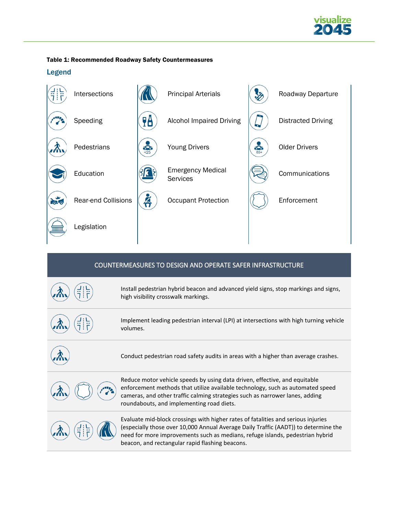

#### Table 1: Recommended Roadway Safety Countermeasures

### Legend



| COUNTERMEASURES TO DESIGN AND OPERATE SAFER INFRASTRUCTURE |                                                                                                                                                                                                                                                                                                              |  |
|------------------------------------------------------------|--------------------------------------------------------------------------------------------------------------------------------------------------------------------------------------------------------------------------------------------------------------------------------------------------------------|--|
|                                                            | Install pedestrian hybrid beacon and advanced yield signs, stop markings and signs,<br>high visibility crosswalk markings.                                                                                                                                                                                   |  |
|                                                            | Implement leading pedestrian interval (LPI) at intersections with high turning vehicle<br>volumes.                                                                                                                                                                                                           |  |
|                                                            | Conduct pedestrian road safety audits in areas with a higher than average crashes.                                                                                                                                                                                                                           |  |
|                                                            | Reduce motor vehicle speeds by using data driven, effective, and equitable<br>enforcement methods that utilize available technology, such as automated speed<br>cameras, and other traffic calming strategies such as narrower lanes, adding<br>roundabouts, and implementing road diets.                    |  |
|                                                            | Evaluate mid-block crossings with higher rates of fatalities and serious injuries<br>(especially those over 10,000 Annual Average Daily Traffic (AADT)) to determine the<br>need for more improvements such as medians, refuge islands, pedestrian hybrid<br>beacon, and rectangular rapid flashing beacons. |  |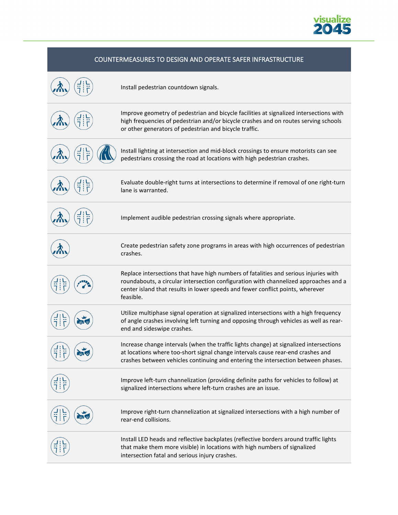

## COUNTERMEASURES TO DESIGN AND OPERATE SAFER INFRASTRUCTURE Install pedestrian countdown signals. Improve geometry of pedestrian and bicycle facilities at signalized intersections with high frequencies of pedestrian and/or bicycle crashes and on routes serving schools or other generators of pedestrian and bicycle traffic. Install lighting at intersection and mid-block crossings to ensure motorists can see pedestrians crossing the road at locations with high pedestrian crashes. Evaluate double-right turns at intersections to determine if removal of one right-turn lane is warranted. Implement audible pedestrian crossing signals where appropriate. Create pedestrian safety zone programs in areas with high occurrences of pedestrian crashes. Replace intersections that have high numbers of fatalities and serious injuries with roundabouts, a circular intersection configuration with channelized approaches and a center island that results in lower speeds and fewer conflict points, wherever feasible. Utilize multiphase signal operation at signalized intersections with a high frequency of angle crashes involving left turning and opposing through vehicles as well as rearend and sideswipe crashes. Increase change intervals (when the traffic lights change) at signalized intersections at locations where too-short signal change intervals cause rear-end crashes and crashes between vehicles continuing and entering the intersection between phases. Improve left-turn channelization (providing definite paths for vehicles to follow) at signalized intersections where left-turn crashes are an issue. Improve right-turn channelization at signalized intersections with a high number of rear-end collisions. Install LED heads and reflective backplates (reflective borders around traffic lights that make them more visible) in locations with high numbers of signalized intersection fatal and serious injury crashes.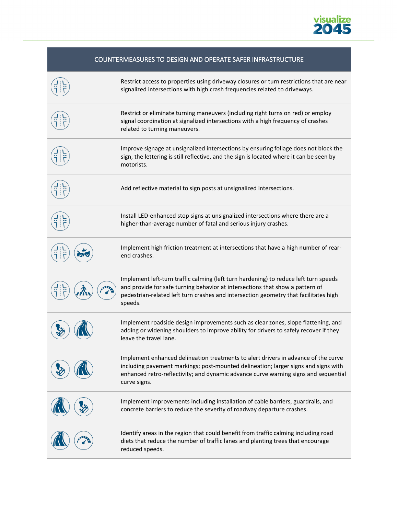

| COUNTERMEASURES TO DESIGN AND OPERATE SAFER INFRASTRUCTURE                                                                                                                                                                                                                      |
|---------------------------------------------------------------------------------------------------------------------------------------------------------------------------------------------------------------------------------------------------------------------------------|
| Restrict access to properties using driveway closures or turn restrictions that are near<br>signalized intersections with high crash frequencies related to driveways.                                                                                                          |
| Restrict or eliminate turning maneuvers (including right turns on red) or employ<br>signal coordination at signalized intersections with a high frequency of crashes<br>related to turning maneuvers.                                                                           |
| Improve signage at unsignalized intersections by ensuring foliage does not block the<br>sign, the lettering is still reflective, and the sign is located where it can be seen by<br>motorists.                                                                                  |
| Add reflective material to sign posts at unsignalized intersections.                                                                                                                                                                                                            |
| Install LED-enhanced stop signs at unsignalized intersections where there are a<br>higher-than-average number of fatal and serious injury crashes.                                                                                                                              |
| Implement high friction treatment at intersections that have a high number of rear-<br>end crashes.                                                                                                                                                                             |
| Implement left-turn traffic calming (left turn hardening) to reduce left turn speeds<br>and provide for safe turning behavior at intersections that show a pattern of<br>pedestrian-related left turn crashes and intersection geometry that facilitates high<br>speeds.        |
| Implement roadside design improvements such as clear zones, slope flattening, and<br>adding or widening shoulders to improve ability for drivers to safely recover if they<br>leave the travel lane.                                                                            |
| Implement enhanced delineation treatments to alert drivers in advance of the curve<br>including pavement markings; post-mounted delineation; larger signs and signs with<br>enhanced retro-reflectivity; and dynamic advance curve warning signs and sequential<br>curve signs. |
| Implement improvements including installation of cable barriers, guardrails, and<br>concrete barriers to reduce the severity of roadway departure crashes.                                                                                                                      |
| Identify areas in the region that could benefit from traffic calming including road<br>diets that reduce the number of traffic lanes and planting trees that encourage<br>reduced speeds.                                                                                       |

Į